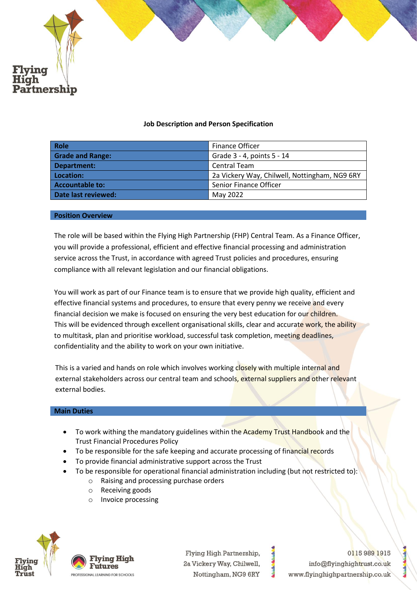

# **Job Description and Person Specification**

| <b>Role</b>             | <b>Finance Officer</b>                        |
|-------------------------|-----------------------------------------------|
| <b>Grade and Range:</b> | Grade 3 - 4, points 5 - 14                    |
| Department:             | <b>Central Team</b>                           |
| Location:               | 2a Vickery Way, Chilwell, Nottingham, NG9 6RY |
| <b>Accountable to:</b>  | Senior Finance Officer                        |
| Date last reviewed:     | May 2022                                      |

#### **Position Overview**

The role will be based within the Flying High Partnership (FHP) Central Team. As a Finance Officer, you will provide a professional, efficient and effective financial processing and administration service across the Trust, in accordance with agreed Trust policies and procedures, ensuring compliance with all relevant legislation and our financial obligations.

You will work as part of our Finance team is to ensure that we provide high quality, efficient and effective financial systems and procedures, to ensure that every penny we receive and every financial decision we make is focused on ensuring the very best education for our children. This will be evidenced through excellent organisational skills, clear and accurate work, the ability to multitask, plan and prioritise workload, successful task completion, meeting deadlines, confidentiality and the ability to work on your own initiative.

This is a varied and hands on role which involves working closely with multiple internal and external stakeholders across our central team and schools, external suppliers and other relevant external bodies.

### **Main Duties**

- To work withing the mandatory guidelines within the Academy Trust Handbook and the Trust Financial Procedures Policy
- To be responsible for the safe keeping and accurate processing of financial records
- To provide financial administrative support across the Trust
- To be responsible for operational financial administration including (but not restricted to):
	- o Raising and processing purchase orders
	- o Receiving goods
	- o Invoice processing



Fiving High Futures **ESSIONAL LEARNING FOR SCHOOLS** 

Flying High Partnership, 2a Vickery Way, Chilwell, Nottingham, NG9 6RY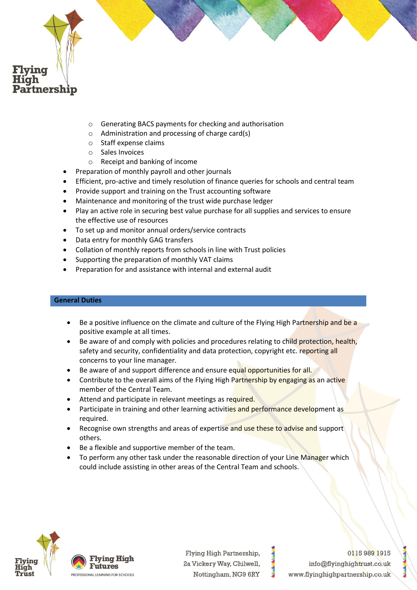

- o Generating BACS payments for checking and authorisation
- o Administration and processing of charge card(s)
- o Staff expense claims
- o Sales Invoices
- o Receipt and banking of income
- Preparation of monthly payroll and other journals
- Efficient, pro-active and timely resolution of finance queries for schools and central team
- Provide support and training on the Trust accounting software
- Maintenance and monitoring of the trust wide purchase ledger
- Play an active role in securing best value purchase for all supplies and services to ensure the effective use of resources
- To set up and monitor annual orders/service contracts
- Data entry for monthly GAG transfers
- Collation of monthly reports from schools in line with Trust policies
- Supporting the preparation of monthly VAT claims
- Preparation for and assistance with internal and external audit

# **General Duties**

- Be a positive influence on the climate and culture of the Flying High Partnership and be a positive example at all times.
- Be aware of and comply with policies and procedures relating to child protection, health, safety and security, confidentiality and data protection, copyright etc. reporting all concerns to your line manager.
- Be aware of and support difference and ensure equal opportunities for all.
- Contribute to the overall aims of the Flying High Partnership by engaging as an active member of the Central Team.
- Attend and participate in relevant meetings as required.
- Participate in training and other learning activities and performance development as required.
- Recognise own strengths and areas of expertise and use these to advise and support others.
- Be a flexible and supportive member of the team.
- To perform any other task under the reasonable direction of your Line Manager which could include assisting in other areas of the Central Team and schools.





Flying High Partnership, 2a Vickery Way, Chilwell, Nottingham, NG9 6RY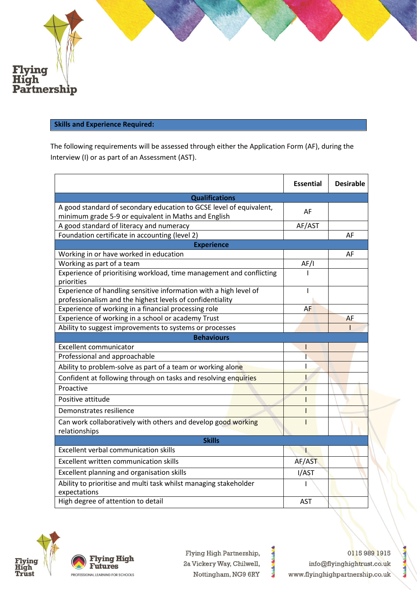

## **Skills and Experience Required:**

The following requirements will be assessed through either the Application Form (AF), during the Interview (I) or as part of an Assessment (AST).

|                                                                                                                                | <b>Essential</b> | <b>Desirable</b> |  |
|--------------------------------------------------------------------------------------------------------------------------------|------------------|------------------|--|
| <b>Qualifications</b>                                                                                                          |                  |                  |  |
| A good standard of secondary education to GCSE level of equivalent,                                                            | AF               |                  |  |
| minimum grade 5-9 or equivalent in Maths and English<br>A good standard of literacy and numeracy                               | AF/AST           |                  |  |
| Foundation certificate in accounting (level 2)                                                                                 |                  | AF               |  |
| <b>Experience</b>                                                                                                              |                  |                  |  |
| Working in or have worked in education                                                                                         |                  | AF               |  |
| Working as part of a team                                                                                                      | AF/I             |                  |  |
| Experience of prioritising workload, time management and conflicting<br>priorities                                             |                  |                  |  |
| Experience of handling sensitive information with a high level of<br>professionalism and the highest levels of confidentiality | L                |                  |  |
| Experience of working in a financial processing role                                                                           | AF               |                  |  |
| Experience of working in a school or academy Trust                                                                             |                  | AF               |  |
| Ability to suggest improvements to systems or processes                                                                        |                  |                  |  |
| <b>Behaviours</b>                                                                                                              |                  |                  |  |
| <b>Excellent communicator</b>                                                                                                  |                  |                  |  |
| Professional and approachable                                                                                                  |                  |                  |  |
| Ability to problem-solve as part of a team or working alone                                                                    |                  |                  |  |
| Confident at following through on tasks and resolving enquiries                                                                | ı                |                  |  |
| Proactive                                                                                                                      |                  |                  |  |
| Positive attitude                                                                                                              | ı                |                  |  |
| Demonstrates resilience                                                                                                        |                  |                  |  |
| Can work collaboratively with others and develop good working<br>relationships                                                 |                  |                  |  |
| <b>Skills</b>                                                                                                                  |                  |                  |  |
| <b>Excellent verbal communication skills</b>                                                                                   | Ŧ                |                  |  |
| <b>Excellent written communication skills</b>                                                                                  | AF/AST           |                  |  |
| Excellent planning and organisation skills                                                                                     | I/AST            |                  |  |
| Ability to prioritise and multi task whilst managing stakeholder<br>expectations                                               | ı                |                  |  |
| High degree of attention to detail                                                                                             | <b>AST</b>       |                  |  |





Flying High Partnership, 2a Vickery Way, Chilwell, Nottingham, NG9 6RY

**Mainle**